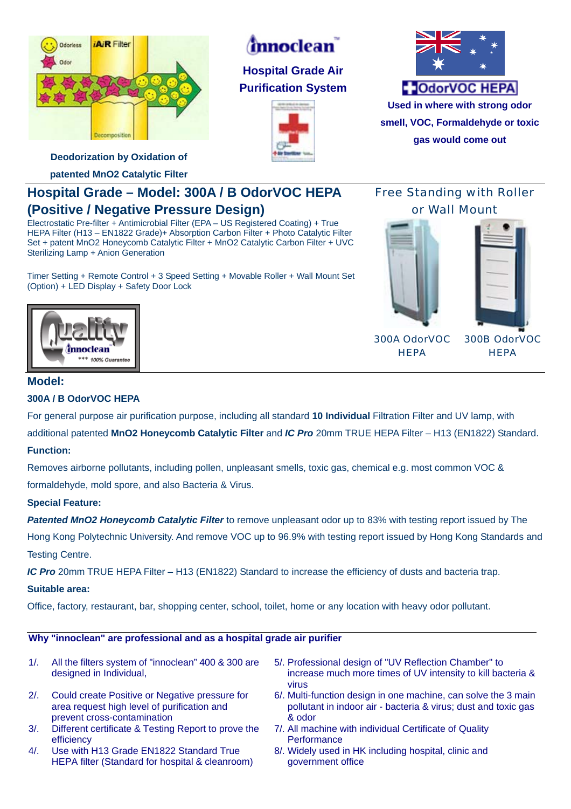

# *innoclean*

**Hospital Grade Air Purification System** 





**Used in where with strong odor smell, VOC, Formaldehyde or toxic gas would come out**

**Deodorization by Oxidation of** 

**patented MnO2 Catalytic Filter** 

## **Hospital Grade – Model: 300A / B OdorVOC HEPA (Positive / Negative Pressure Design)**

Electrostatic Pre-filter + Antimicrobial Filter (EPA – US Registered Coating) + True HEPA Filter (H13 – EN1822 Grade)+ Absorption Carbon Filter + Photo Catalytic Filter Set + patent MnO2 Honeycomb Catalytic Filter + MnO2 Catalytic Carbon Filter + UVC Sterilizing Lamp + Anion Generation

Timer Setting + Remote Control + 3 Speed Setting + Movable Roller + Wall Mount Set (Option) + LED Display + Safety Door Lock

Free Standing with Roller or Wall Mount



300A OdorVOC **HEPA** 

300B OdorVOC **HEPA** 



### **Model:**

#### **300A / B OdorVOC HEPA**

For general purpose air purification purpose, including all standard **10 Individual** Filtration Filter and UV lamp, with additional patented **MnO2 Honeycomb Catalytic Filter** and *IC Pro* 20mm TRUE HEPA Filter – H13 (EN1822) Standard.

#### **Function:**

Removes airborne pollutants, including pollen, unpleasant smells, toxic gas, chemical e.g. most common VOC & formaldehyde, mold spore, and also Bacteria & Virus.

#### **Special Feature:**

*Patented MnO2 Honeycomb Catalytic Filter* to remove unpleasant odor up to 83% with testing report issued by The Hong Kong Polytechnic University. And remove VOC up to 96.9% with testing report issued by Hong Kong Standards and Testing Centre.

*IC Pro* 20mm TRUE HEPA Filter – H13 (EN1822) Standard to increase the efficiency of dusts and bacteria trap.

#### **Suitable area:**

Office, factory, restaurant, bar, shopping center, school, toilet, home or any location with heavy odor pollutant.

#### **Why "innoclean" are professional and as a hospital grade air purifier**

- 1/. All the filters system of "innoclean" 400 & 300 are designed in Individual, 5/. Professional design of "UV Reflection Chamber" to increase much more times of UV intensity to kill bacteria & virus 2/. Could create Positive or Negative pressure for area request high level of purification and prevent cross-contamination 6/. Multi-function design in one machine, can solve the 3 main pollutant in indoor air - bacteria & virus; dust and toxic gas & odor
- 3/. Different certificate & Testing Report to prove the efficiency
- 4/. Use with H13 Grade EN1822 Standard True HEPA filter (Standard for hospital & cleanroom)
- 7/. All machine with individual Certificate of Quality **Performance**
- 8/. Widely used in HK including hospital, clinic and government office